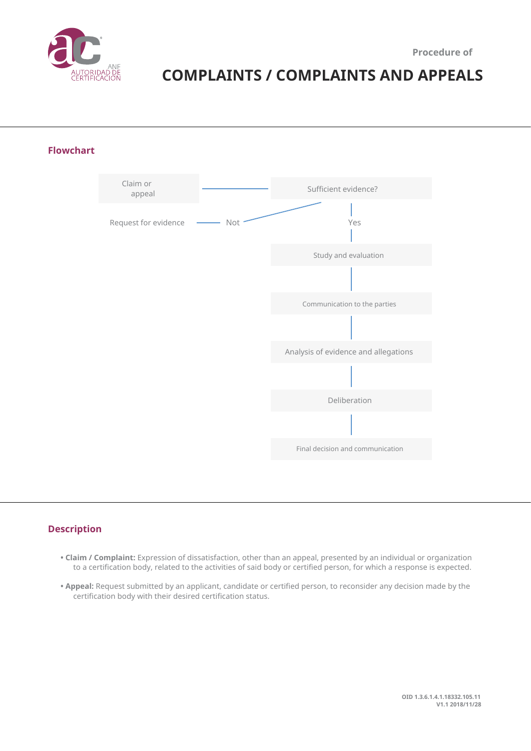

# **COMPLAINTS / COMPLAINTS AND APPEALS**

**Flowchart**



## **Description**

- **Claim / Complaint:** Expression of dissatisfaction, other than an appeal, presented by an individual or organization to a certification body, related to the activities of said body or certified person, for which a response is expected.
- **Appeal:** Request submitted by an applicant, candidate or certified person, to reconsider any decision made by the certification body with their desired certification status.